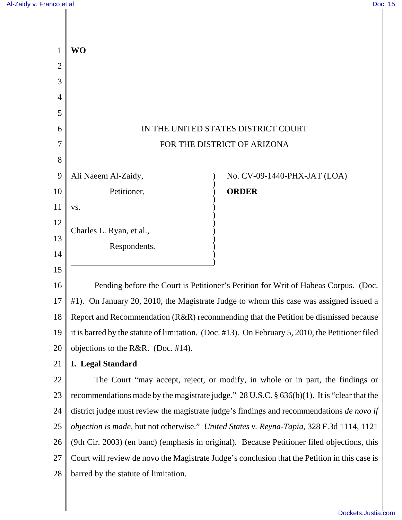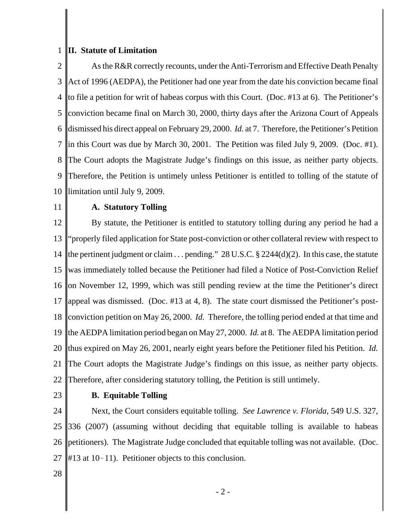## 1 **II. Statute of Limitation**

2 3 4 5 6 7 8 9 10 As the R&R correctly recounts, under the Anti-Terrorism and Effective Death Penalty Act of 1996 (AEDPA), the Petitioner had one year from the date his conviction became final to file a petition for writ of habeas corpus with this Court. (Doc. #13 at 6). The Petitioner's conviction became final on March 30, 2000, thirty days after the Arizona Court of Appeals dismissed his direct appeal on February 29, 2000. *Id.* at 7.Therefore, the Petitioner's Petition in this Court was due by March 30, 2001. The Petition was filed July 9, 2009. (Doc. #1). The Court adopts the Magistrate Judge's findings on this issue, as neither party objects. Therefore, the Petition is untimely unless Petitioner is entitled to tolling of the statute of limitation until July 9, 2009.

11

## **A. Statutory Tolling**

12 13 14 15 16 17 18 19 20 21 22 By statute, the Petitioner is entitled to statutory tolling during any period he had a "properly filed application for State post-conviction or other collateral review with respect to the pertinent judgment or claim  $\ldots$  pending." 28 U.S.C. § 2244(d)(2). In this case, the statute was immediately tolled because the Petitioner had filed a Notice of Post-Conviction Relief on November 12, 1999, which was still pending review at the time the Petitioner's direct appeal was dismissed. (Doc. #13 at 4, 8). The state court dismissed the Petitioner's postconviction petition on May 26, 2000. *Id.* Therefore, the tolling period ended at that time and the AEDPA limitation period began on May 27, 2000. *Id.* at 8. The AEDPA limitation period thus expired on May 26, 2001, nearly eight years before the Petitioner filed his Petition. *Id.* The Court adopts the Magistrate Judge's findings on this issue, as neither party objects. Therefore, after considering statutory tolling, the Petition is still untimely.

23

## **B. Equitable Tolling**

24 25 26 27 Next, the Court considers equitable tolling. *See Lawrence v. Florida*, 549 U.S. 327, 336 (2007) (assuming without deciding that equitable tolling is available to habeas petitioners). The Magistrate Judge concluded that equitable tolling was not available. (Doc.  $#13$  at 10-11). Petitioner objects to this conclusion.

28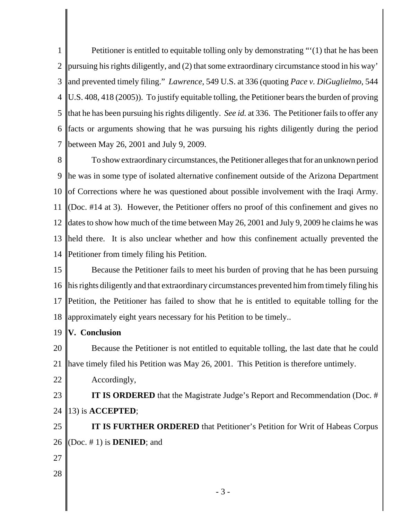1 2 3 4 5 6 7 Petitioner is entitled to equitable tolling only by demonstrating "'(1) that he has been pursuing his rights diligently, and (2) that some extraordinary circumstance stood in his way' and prevented timely filing." *Lawrence*, 549 U.S. at 336 (quoting *Pace v. DiGuglielmo*, 544 U.S. 408, 418 (2005)). To justify equitable tolling, the Petitioner bears the burden of proving that he has been pursuing his rights diligently. *See id.* at 336. The Petitioner fails to offer any facts or arguments showing that he was pursuing his rights diligently during the period between May 26, 2001 and July 9, 2009.

8 9 10 11 12 13 14 To show extraordinary circumstances, the Petitioner alleges that for an unknown period he was in some type of isolated alternative confinement outside of the Arizona Department of Corrections where he was questioned about possible involvement with the Iraqi Army. (Doc. #14 at 3). However, the Petitioner offers no proof of this confinement and gives no dates to show how much of the time between May 26, 2001 and July 9, 2009 he claims he was held there. It is also unclear whether and how this confinement actually prevented the Petitioner from timely filing his Petition.

15 16 17 18 Because the Petitioner fails to meet his burden of proving that he has been pursuing his rights diligently and that extraordinary circumstances prevented him from timely filing his Petition, the Petitioner has failed to show that he is entitled to equitable tolling for the approximately eight years necessary for his Petition to be timely..

19 **V. Conclusion**

20 21 Because the Petitioner is not entitled to equitable tolling, the last date that he could have timely filed his Petition was May 26, 2001. This Petition is therefore untimely.

22 Accordingly,

23 24 **IT IS ORDERED** that the Magistrate Judge's Report and Recommendation (Doc. # 13) is **ACCEPTED**;

25 26 **IT IS FURTHER ORDERED** that Petitioner's Petition for Writ of Habeas Corpus (Doc. # 1) is **DENIED**; and

- 27
- 28